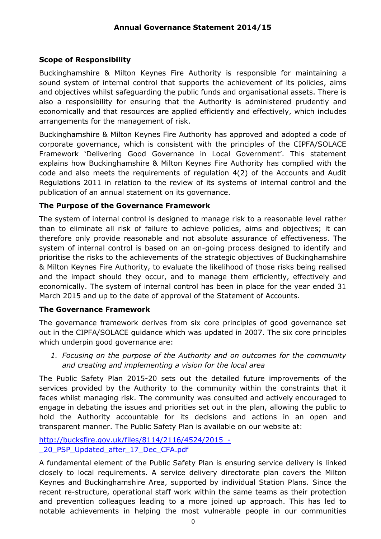## **Scope of Responsibility**

Buckinghamshire & Milton Keynes Fire Authority is responsible for maintaining a sound system of internal control that supports the achievement of its policies, aims and objectives whilst safeguarding the public funds and organisational assets. There is also a responsibility for ensuring that the Authority is administered prudently and economically and that resources are applied efficiently and effectively, which includes arrangements for the management of risk.

Buckinghamshire & Milton Keynes Fire Authority has approved and adopted a code of corporate governance, which is consistent with the principles of the CIPFA/SOLACE Framework 'Delivering Good Governance in Local Government'. This statement explains how Buckinghamshire & Milton Keynes Fire Authority has complied with the code and also meets the requirements of regulation 4(2) of the Accounts and Audit Regulations 2011 in relation to the review of its systems of internal control and the publication of an annual statement on its governance.

## **The Purpose of the Governance Framework**

The system of internal control is designed to manage risk to a reasonable level rather than to eliminate all risk of failure to achieve policies, aims and objectives; it can therefore only provide reasonable and not absolute assurance of effectiveness. The system of internal control is based on an on-going process designed to identify and prioritise the risks to the achievements of the strategic objectives of Buckinghamshire & Milton Keynes Fire Authority, to evaluate the likelihood of those risks being realised and the impact should they occur, and to manage them efficiently, effectively and economically. The system of internal control has been in place for the year ended 31 March 2015 and up to the date of approval of the Statement of Accounts.

## **The Governance Framework**

The governance framework derives from six core principles of good governance set out in the CIPFA/SOLACE guidance which was updated in 2007. The six core principles which underpin good governance are:

*1. Focusing on the purpose of the Authority and on outcomes for the community and creating and implementing a vision for the local area*

The Public Safety Plan 2015-20 sets out the detailed future improvements of the services provided by the Authority to the community within the constraints that it faces whilst managing risk. The community was consulted and actively encouraged to engage in debating the issues and priorities set out in the plan, allowing the public to hold the Authority accountable for its decisions and actions in an open and transparent manner. The Public Safety Plan is available on our website at:

[http://bucksfire.gov.uk/files/8114/2116/4524/2015\\_-](http://bucksfire.gov.uk/files/8114/2116/4524/2015_-_20_PSP_Updated_after_17_Dec_CFA.pdf) [\\_20\\_PSP\\_Updated\\_after\\_17\\_Dec\\_CFA.pdf](http://bucksfire.gov.uk/files/8114/2116/4524/2015_-_20_PSP_Updated_after_17_Dec_CFA.pdf)

A fundamental element of the Public Safety Plan is ensuring service delivery is linked closely to local requirements. A service delivery directorate plan covers the Milton Keynes and Buckinghamshire Area, supported by individual Station Plans. Since the recent re-structure, operational staff work within the same teams as their protection and prevention colleagues leading to a more joined up approach. This has led to notable achievements in helping the most vulnerable people in our communities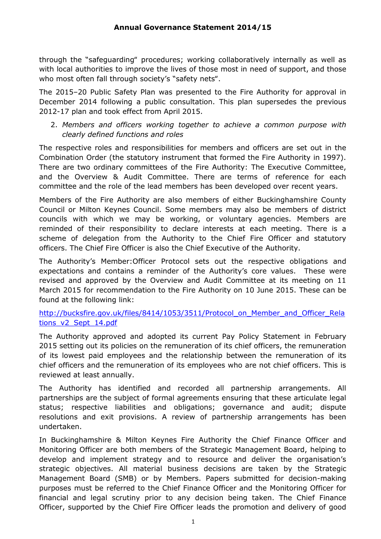through the "safeguarding" procedures; working collaboratively internally as well as with local authorities to improve the lives of those most in need of support, and those who most often fall through society's "safety nets".

The 2015–20 Public Safety Plan was presented to the Fire Authority for approval in December 2014 following a public consultation. This plan supersedes the previous 2012-17 plan and took effect from April 2015.

2. *Members and officers working together to achieve a common purpose with clearly defined functions and roles* 

The respective roles and responsibilities for members and officers are set out in the Combination Order (the statutory instrument that formed the Fire Authority in 1997). There are two ordinary committees of the Fire Authority: The Executive Committee, and the Overview & Audit Committee. There are terms of reference for each committee and the role of the lead members has been developed over recent years.

Members of the Fire Authority are also members of either Buckinghamshire County Council or Milton Keynes Council. Some members may also be members of district councils with which we may be working, or voluntary agencies. Members are reminded of their responsibility to declare interests at each meeting. There is a scheme of delegation from the Authority to the Chief Fire Officer and statutory officers. The Chief Fire Officer is also the Chief Executive of the Authority.

The Authority's Member:Officer Protocol sets out the respective obligations and expectations and contains a reminder of the Authority's core values. These were revised and approved by the Overview and Audit Committee at its meeting on 11 March 2015 for recommendation to the Fire Authority on 10 June 2015. These can be found at the following link:

#### [http://bucksfire.gov.uk/files/8414/1053/3511/Protocol\\_on\\_Member\\_and\\_Officer\\_Rela](http://bucksfire.gov.uk/files/8414/1053/3511/Protocol_on_Member_and_Officer_Relations_v2_Sept_14.pdf) [tions\\_v2\\_Sept\\_14.pdf](http://bucksfire.gov.uk/files/8414/1053/3511/Protocol_on_Member_and_Officer_Relations_v2_Sept_14.pdf)

The Authority approved and adopted its current Pay Policy Statement in February 2015 setting out its policies on the remuneration of its chief officers, the remuneration of its lowest paid employees and the relationship between the remuneration of its chief officers and the remuneration of its employees who are not chief officers. This is reviewed at least annually.

The Authority has identified and recorded all partnership arrangements. All partnerships are the subject of formal agreements ensuring that these articulate legal status; respective liabilities and obligations; governance and audit; dispute resolutions and exit provisions. A review of partnership arrangements has been undertaken.

In Buckinghamshire & Milton Keynes Fire Authority the Chief Finance Officer and Monitoring Officer are both members of the Strategic Management Board, helping to develop and implement strategy and to resource and deliver the organisation's strategic objectives. All material business decisions are taken by the Strategic Management Board (SMB) or by Members. Papers submitted for decision-making purposes must be referred to the Chief Finance Officer and the Monitoring Officer for financial and legal scrutiny prior to any decision being taken. The Chief Finance Officer, supported by the Chief Fire Officer leads the promotion and delivery of good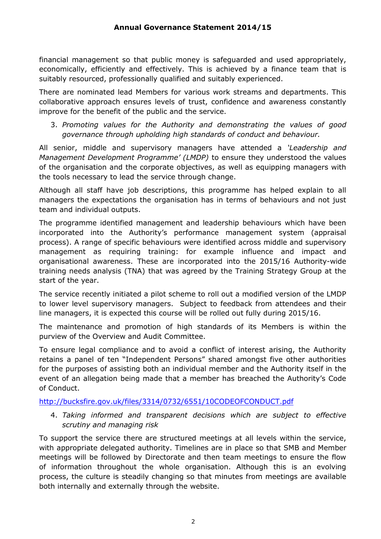financial management so that public money is safeguarded and used appropriately, economically, efficiently and effectively. This is achieved by a finance team that is suitably resourced, professionally qualified and suitably experienced.

There are nominated lead Members for various work streams and departments. This collaborative approach ensures levels of trust, confidence and awareness constantly improve for the benefit of the public and the service.

3. *Promoting values for the Authority and demonstrating the values of good governance through upholding high standards of conduct and behaviour.* 

All senior, middle and supervisory managers have attended a *'Leadership and Management Development Programme' (LMDP)* to ensure they understood the values of the organisation and the corporate objectives, as well as equipping managers with the tools necessary to lead the service through change.

Although all staff have job descriptions, this programme has helped explain to all managers the expectations the organisation has in terms of behaviours and not just team and individual outputs.

The programme identified management and leadership behaviours which have been incorporated into the Authority's performance management system (appraisal process). A range of specific behaviours were identified across middle and supervisory management as requiring training: for example influence and impact and organisational awareness. These are incorporated into the 2015/16 Authority-wide training needs analysis (TNA) that was agreed by the Training Strategy Group at the start of the year.

The service recently initiated a pilot scheme to roll out a modified version of the LMDP to lower level supervisory managers. Subject to feedback from attendees and their line managers, it is expected this course will be rolled out fully during 2015/16.

The maintenance and promotion of high standards of its Members is within the purview of the Overview and Audit Committee.

To ensure legal compliance and to avoid a conflict of interest arising, the Authority retains a panel of ten "Independent Persons" shared amongst five other authorities for the purposes of assisting both an individual member and the Authority itself in the event of an allegation being made that a member has breached the Authority's Code of Conduct.

## <http://bucksfire.gov.uk/files/3314/0732/6551/10CODEOFCONDUCT.pdf>

4. *Taking informed and transparent decisions which are subject to effective scrutiny and managing risk* 

To support the service there are structured meetings at all levels within the service, with appropriate delegated authority. Timelines are in place so that SMB and Member meetings will be followed by Directorate and then team meetings to ensure the flow of information throughout the whole organisation. Although this is an evolving process, the culture is steadily changing so that minutes from meetings are available both internally and externally through the website.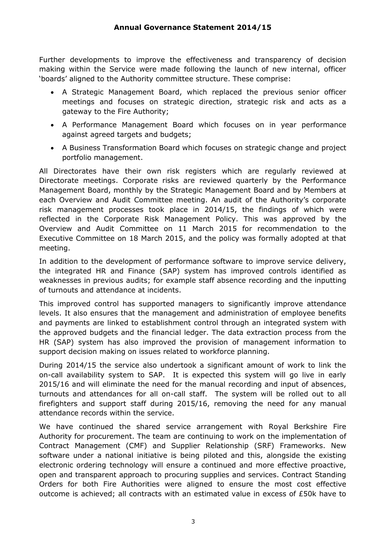Further developments to improve the effectiveness and transparency of decision making within the Service were made following the launch of new internal, officer 'boards' aligned to the Authority committee structure. These comprise:

- A Strategic Management Board, which replaced the previous senior officer meetings and focuses on strategic direction, strategic risk and acts as a gateway to the Fire Authority;
- A Performance Management Board which focuses on in year performance against agreed targets and budgets;
- A Business Transformation Board which focuses on strategic change and project portfolio management.

All Directorates have their own risk registers which are regularly reviewed at Directorate meetings. Corporate risks are reviewed quarterly by the Performance Management Board, monthly by the Strategic Management Board and by Members at each Overview and Audit Committee meeting. An audit of the Authority's corporate risk management processes took place in 2014/15, the findings of which were reflected in the Corporate Risk Management Policy. This was approved by the Overview and Audit Committee on 11 March 2015 for recommendation to the Executive Committee on 18 March 2015, and the policy was formally adopted at that meeting.

In addition to the development of performance software to improve service delivery, the integrated HR and Finance (SAP) system has improved controls identified as weaknesses in previous audits; for example staff absence recording and the inputting of turnouts and attendance at incidents.

This improved control has supported managers to significantly improve attendance levels. It also ensures that the management and administration of employee benefits and payments are linked to establishment control through an integrated system with the approved budgets and the financial ledger. The data extraction process from the HR (SAP) system has also improved the provision of management information to support decision making on issues related to workforce planning.

During 2014/15 the service also undertook a significant amount of work to link the on-call availability system to SAP. It is expected this system will go live in early 2015/16 and will eliminate the need for the manual recording and input of absences, turnouts and attendances for all on-call staff. The system will be rolled out to all firefighters and support staff during 2015/16, removing the need for any manual attendance records within the service.

We have continued the shared service arrangement with Royal Berkshire Fire Authority for procurement. The team are continuing to work on the implementation of Contract Management (CMF) and Supplier Relationship (SRF) Frameworks. New software under a national initiative is being piloted and this, alongside the existing electronic ordering technology will ensure a continued and more effective proactive, open and transparent approach to procuring supplies and services. Contract Standing Orders for both Fire Authorities were aligned to ensure the most cost effective outcome is achieved; all contracts with an estimated value in excess of £50k have to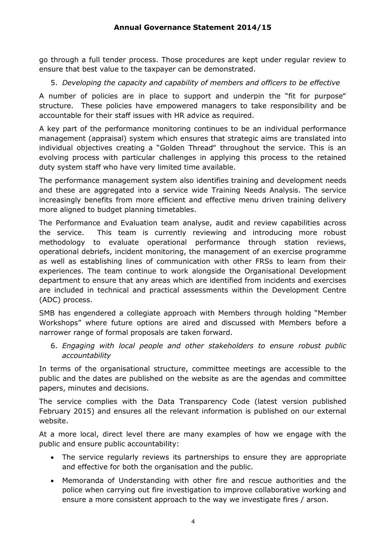go through a full tender process. Those procedures are kept under regular review to ensure that best value to the taxpayer can be demonstrated.

5. *Developing the capacity and capability of members and officers to be effective* 

A number of policies are in place to support and underpin the "fit for purpose" structure. These policies have empowered managers to take responsibility and be accountable for their staff issues with HR advice as required.

A key part of the performance monitoring continues to be an individual performance management (appraisal) system which ensures that strategic aims are translated into individual objectives creating a "Golden Thread" throughout the service. This is an evolving process with particular challenges in applying this process to the retained duty system staff who have very limited time available.

The performance management system also identifies training and development needs and these are aggregated into a service wide Training Needs Analysis. The service increasingly benefits from more efficient and effective menu driven training delivery more aligned to budget planning timetables.

The Performance and Evaluation team analyse, audit and review capabilities across the service. This team is currently reviewing and introducing more robust methodology to evaluate operational performance through station reviews, operational debriefs, incident monitoring, the management of an exercise programme as well as establishing lines of communication with other FRSs to learn from their experiences. The team continue to work alongside the Organisational Development department to ensure that any areas which are identified from incidents and exercises are included in technical and practical assessments within the Development Centre (ADC) process.

SMB has engendered a collegiate approach with Members through holding "Member Workshops" where future options are aired and discussed with Members before a narrower range of formal proposals are taken forward.

6. *Engaging with local people and other stakeholders to ensure robust public accountability* 

In terms of the organisational structure, committee meetings are accessible to the public and the dates are published on the website as are the agendas and committee papers, minutes and decisions.

The service complies with the Data Transparency Code (latest version published February 2015) and ensures all the relevant information is published on our external website.

At a more local, direct level there are many examples of how we engage with the public and ensure public accountability:

- The service regularly reviews its partnerships to ensure they are appropriate and effective for both the organisation and the public.
- Memoranda of Understanding with other fire and rescue authorities and the police when carrying out fire investigation to improve collaborative working and ensure a more consistent approach to the way we investigate fires / arson.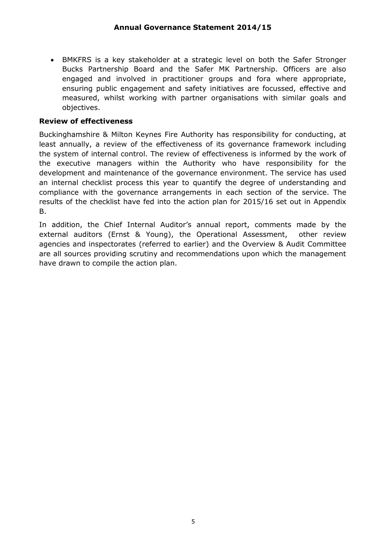BMKFRS is a key stakeholder at a strategic level on both the Safer Stronger Bucks Partnership Board and the Safer MK Partnership. Officers are also engaged and involved in practitioner groups and fora where appropriate, ensuring public engagement and safety initiatives are focussed, effective and measured, whilst working with partner organisations with similar goals and objectives.

### **Review of effectiveness**

Buckinghamshire & Milton Keynes Fire Authority has responsibility for conducting, at least annually, a review of the effectiveness of its governance framework including the system of internal control. The review of effectiveness is informed by the work of the executive managers within the Authority who have responsibility for the development and maintenance of the governance environment. The service has used an internal checklist process this year to quantify the degree of understanding and compliance with the governance arrangements in each section of the service. The results of the checklist have fed into the action plan for 2015/16 set out in Appendix B.

In addition, the Chief Internal Auditor's annual report, comments made by the external auditors (Ernst & Young), the Operational Assessment, other review agencies and inspectorates (referred to earlier) and the Overview & Audit Committee are all sources providing scrutiny and recommendations upon which the management have drawn to compile the action plan.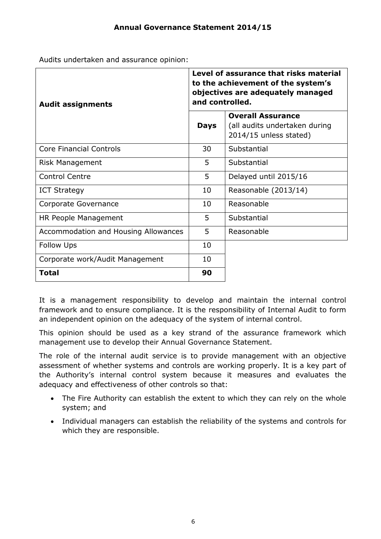Audits undertaken and assurance opinion:

| <b>Audit assignments</b>             | Level of assurance that risks material<br>to the achievement of the system's<br>objectives are adequately managed<br>and controlled. |                                                                                     |  |
|--------------------------------------|--------------------------------------------------------------------------------------------------------------------------------------|-------------------------------------------------------------------------------------|--|
|                                      | <b>Days</b>                                                                                                                          | <b>Overall Assurance</b><br>(all audits undertaken during<br>2014/15 unless stated) |  |
| <b>Core Financial Controls</b>       | 30                                                                                                                                   | Substantial                                                                         |  |
| <b>Risk Management</b>               | 5                                                                                                                                    | Substantial                                                                         |  |
| <b>Control Centre</b>                | 5                                                                                                                                    | Delayed until 2015/16                                                               |  |
| <b>ICT Strategy</b>                  | 10                                                                                                                                   | Reasonable (2013/14)                                                                |  |
| Corporate Governance                 | 10                                                                                                                                   | Reasonable                                                                          |  |
| HR People Management                 | 5                                                                                                                                    | Substantial                                                                         |  |
| Accommodation and Housing Allowances | 5                                                                                                                                    | Reasonable                                                                          |  |
| <b>Follow Ups</b>                    | 10                                                                                                                                   |                                                                                     |  |
| Corporate work/Audit Management      | 10                                                                                                                                   |                                                                                     |  |
| <b>Total</b>                         | 90                                                                                                                                   |                                                                                     |  |

It is a management responsibility to develop and maintain the internal control framework and to ensure compliance. It is the responsibility of Internal Audit to form an independent opinion on the adequacy of the system of internal control.

This opinion should be used as a key strand of the assurance framework which management use to develop their Annual Governance Statement.

The role of the internal audit service is to provide management with an objective assessment of whether systems and controls are working properly. It is a key part of the Authority's internal control system because it measures and evaluates the adequacy and effectiveness of other controls so that:

- The Fire Authority can establish the extent to which they can rely on the whole system; and
- Individual managers can establish the reliability of the systems and controls for which they are responsible.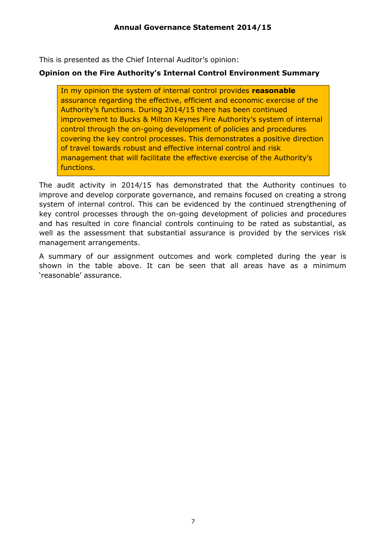This is presented as the Chief Internal Auditor's opinion:

## **Opinion on the Fire Authority's Internal Control Environment Summary**

In my opinion the system of internal control provides **reasonable** assurance regarding the effective, efficient and economic exercise of the Authority's functions. During 2014/15 there has been continued improvement to Bucks & Milton Keynes Fire Authority's system of internal control through the on-going development of policies and procedures covering the key control processes. This demonstrates a positive direction of travel towards robust and effective internal control and risk management that will facilitate the effective exercise of the Authority's functions.

The audit activity in 2014/15 has demonstrated that the Authority continues to improve and develop corporate governance, and remains focused on creating a strong system of internal control. This can be evidenced by the continued strengthening of key control processes through the on-going development of policies and procedures and has resulted in core financial controls continuing to be rated as substantial, as well as the assessment that substantial assurance is provided by the services risk management arrangements.

A summary of our assignment outcomes and work completed during the year is shown in the table above. It can be seen that all areas have as a minimum 'reasonable' assurance.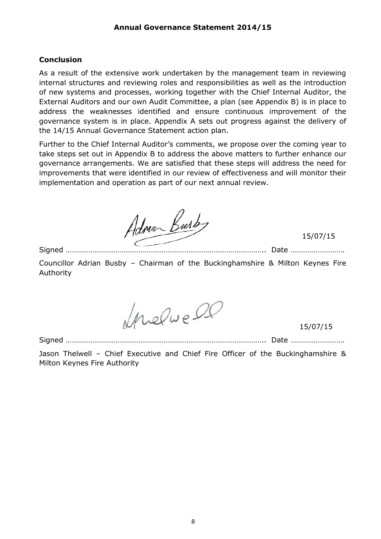#### **Conclusion**

As a result of the extensive work undertaken by the management team in reviewing internal structures and reviewing roles and responsibilities as well as the introduction of new systems and processes, working together with the Chief Internal Auditor, the External Auditors and our own Audit Committee, a plan (see Appendix B) is in place to address the weaknesses identified and ensure continuous improvement of the governance system is in place. Appendix A sets out progress against the delivery of the 14/15 Annual Governance Statement action plan.

Further to the Chief Internal Auditor's comments, we propose over the coming year to take steps set out in Appendix B to address the above matters to further enhance our governance arrangements. We are satisfied that these steps will address the need for improvements that were identified in our review of effectiveness and will monitor their implementation and operation as part of our next annual review.

Adman Busb

15/07/15

Signed ………………………………………………………………………………………….. Date ……………………….

Councillor Adrian Busby – Chairman of the Buckinghamshire & Milton Keynes Fire Authority

Inelve DC

15/07/15

Signed ………………………………………………………………………………………….. Date ……………………….

Jason Thelwell – Chief Executive and Chief Fire Officer of the Buckinghamshire & Milton Keynes Fire Authority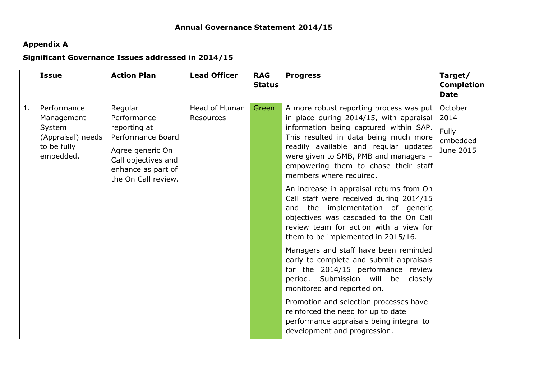# **Appendix A**

# **Significant Governance Issues addressed in 2014/15**

|                | <b>Issue</b>                                                                         | <b>Action Plan</b>                                                                                                                                  | <b>Lead Officer</b>               | <b>RAG</b><br><b>Status</b> | <b>Progress</b>                                                                                                                                                                                                                                                                                                                                                                                                                                                                                                                                                                                                                                                                                                                                                                                                                                                                                                                                     | Target/<br><b>Completion</b><br><b>Date</b>       |
|----------------|--------------------------------------------------------------------------------------|-----------------------------------------------------------------------------------------------------------------------------------------------------|-----------------------------------|-----------------------------|-----------------------------------------------------------------------------------------------------------------------------------------------------------------------------------------------------------------------------------------------------------------------------------------------------------------------------------------------------------------------------------------------------------------------------------------------------------------------------------------------------------------------------------------------------------------------------------------------------------------------------------------------------------------------------------------------------------------------------------------------------------------------------------------------------------------------------------------------------------------------------------------------------------------------------------------------------|---------------------------------------------------|
| $\mathbf{1}$ . | Performance<br>Management<br>System<br>(Appraisal) needs<br>to be fully<br>embedded. | Regular<br>Performance<br>reporting at<br>Performance Board<br>Agree generic On<br>Call objectives and<br>enhance as part of<br>the On Call review. | Head of Human<br><b>Resources</b> | Green                       | A more robust reporting process was put<br>in place during 2014/15, with appraisal<br>information being captured within SAP.<br>This resulted in data being much more<br>readily available and regular updates<br>were given to SMB, PMB and managers -<br>empowering them to chase their staff<br>members where required.<br>An increase in appraisal returns from On<br>Call staff were received during 2014/15<br>and the implementation of generic<br>objectives was cascaded to the On Call<br>review team for action with a view for<br>them to be implemented in 2015/16.<br>Managers and staff have been reminded<br>early to complete and submit appraisals<br>for the 2014/15 performance review<br>Submission will<br>be<br>period.<br>closely<br>monitored and reported on.<br>Promotion and selection processes have<br>reinforced the need for up to date<br>performance appraisals being integral to<br>development and progression. | October<br>2014<br>Fully<br>embedded<br>June 2015 |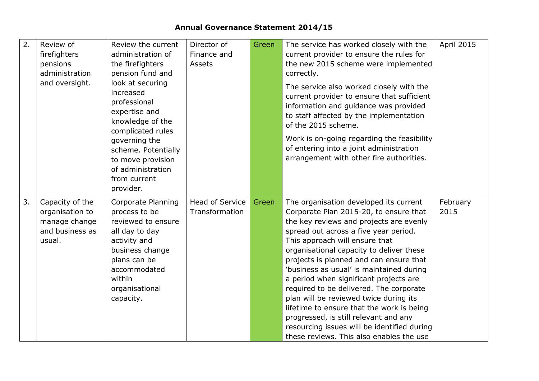| 2. | Review of       | Review the current  | Director of            | Green | The service has worked closely with the                        | <b>April 2015</b> |
|----|-----------------|---------------------|------------------------|-------|----------------------------------------------------------------|-------------------|
|    | firefighters    | administration of   | Finance and            |       | current provider to ensure the rules for                       |                   |
|    | pensions        | the firefighters    | <b>Assets</b>          |       | the new 2015 scheme were implemented                           |                   |
|    | administration  | pension fund and    |                        |       | correctly.                                                     |                   |
|    | and oversight.  | look at securing    |                        |       | The service also worked closely with the                       |                   |
|    |                 | increased           |                        |       | current provider to ensure that sufficient                     |                   |
|    |                 | professional        |                        |       | information and guidance was provided                          |                   |
|    |                 | expertise and       |                        |       | to staff affected by the implementation<br>of the 2015 scheme. |                   |
|    |                 | knowledge of the    |                        |       |                                                                |                   |
|    |                 | complicated rules   |                        |       |                                                                |                   |
|    |                 | governing the       |                        |       | Work is on-going regarding the feasibility                     |                   |
|    |                 | scheme. Potentially |                        |       | of entering into a joint administration                        |                   |
|    |                 | to move provision   |                        |       | arrangement with other fire authorities.                       |                   |
|    |                 | of administration   |                        |       |                                                                |                   |
|    |                 | from current        |                        |       |                                                                |                   |
|    |                 | provider.           |                        |       |                                                                |                   |
| 3. | Capacity of the | Corporate Planning  | <b>Head of Service</b> | Green | The organisation developed its current                         | February          |
|    | organisation to | process to be       | Transformation         |       | Corporate Plan 2015-20, to ensure that                         | 2015              |
|    | manage change   | reviewed to ensure  |                        |       | the key reviews and projects are evenly                        |                   |
|    | and business as | all day to day      |                        |       | spread out across a five year period.                          |                   |
|    | usual.          | activity and        |                        |       | This approach will ensure that                                 |                   |
|    |                 | business change     |                        |       | organisational capacity to deliver these                       |                   |
|    |                 | plans can be        |                        |       | projects is planned and can ensure that                        |                   |
|    |                 | accommodated        |                        |       | 'business as usual' is maintained during                       |                   |
|    |                 | within              |                        |       | a period when significant projects are                         |                   |
|    |                 | organisational      |                        |       | required to be delivered. The corporate                        |                   |
|    |                 | capacity.           |                        |       | plan will be reviewed twice during its                         |                   |
|    |                 |                     |                        |       | lifetime to ensure that the work is being                      |                   |
|    |                 |                     |                        |       | progressed, is still relevant and any                          |                   |
|    |                 |                     |                        |       | resourcing issues will be identified during                    |                   |
|    |                 |                     |                        |       | these reviews. This also enables the use                       |                   |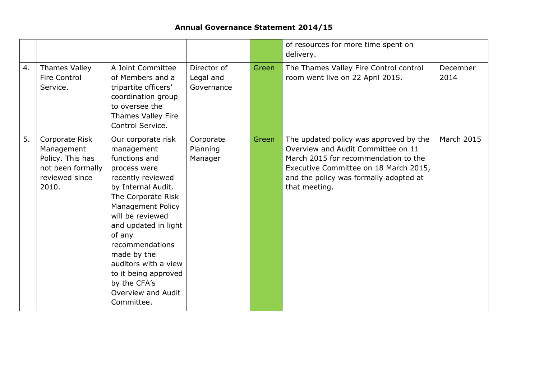# **Annual Governance Statement 2014/15**

|    |                                                                                                  |                                                                                                                                                                                                                                                                                                                                                     |                                        |       | of resources for more time spent on<br>delivery.                                                                                                                                                                         |                   |
|----|--------------------------------------------------------------------------------------------------|-----------------------------------------------------------------------------------------------------------------------------------------------------------------------------------------------------------------------------------------------------------------------------------------------------------------------------------------------------|----------------------------------------|-------|--------------------------------------------------------------------------------------------------------------------------------------------------------------------------------------------------------------------------|-------------------|
| 4. | Thames Valley<br><b>Fire Control</b><br>Service.                                                 | A Joint Committee<br>of Members and a<br>tripartite officers'<br>coordination group<br>to oversee the<br>Thames Valley Fire<br>Control Service.                                                                                                                                                                                                     | Director of<br>Legal and<br>Governance | Green | The Thames Valley Fire Control control<br>room went live on 22 April 2015.                                                                                                                                               | December<br>2014  |
| 5. | Corporate Risk<br>Management<br>Policy. This has<br>not been formally<br>reviewed since<br>2010. | Our corporate risk<br>management<br>functions and<br>process were<br>recently reviewed<br>by Internal Audit.<br>The Corporate Risk<br>Management Policy<br>will be reviewed<br>and updated in light<br>of any<br>recommendations<br>made by the<br>auditors with a view<br>to it being approved<br>by the CFA's<br>Overview and Audit<br>Committee. | Corporate<br>Planning<br>Manager       | Green | The updated policy was approved by the<br>Overview and Audit Committee on 11<br>March 2015 for recommendation to the<br>Executive Committee on 18 March 2015,<br>and the policy was formally adopted at<br>that meeting. | <b>March 2015</b> |